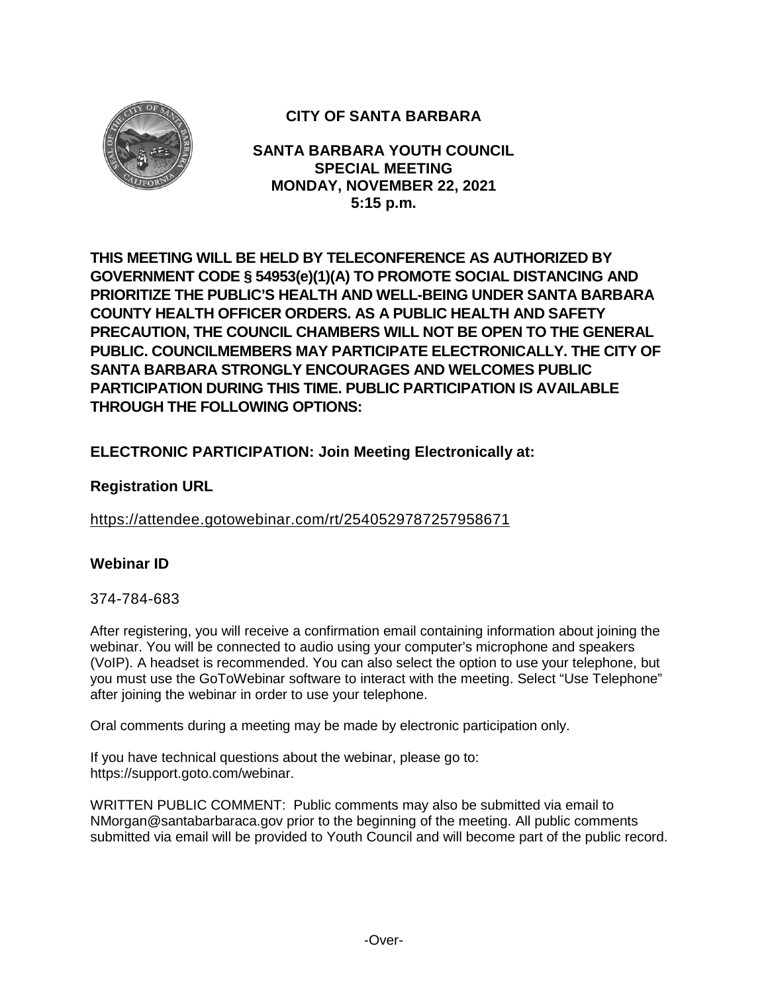

# **CITY OF SANTA BARBARA**

**SANTA BARBARA YOUTH COUNCIL SPECIAL MEETING MONDAY, NOVEMBER 22, 2021 5:15 p.m.**

**THIS MEETING WILL BE HELD BY TELECONFERENCE AS AUTHORIZED BY GOVERNMENT CODE § 54953(e)(1)(A) TO PROMOTE SOCIAL DISTANCING AND PRIORITIZE THE PUBLIC'S HEALTH AND WELL-BEING UNDER SANTA BARBARA COUNTY HEALTH OFFICER ORDERS. AS A PUBLIC HEALTH AND SAFETY PRECAUTION, THE COUNCIL CHAMBERS WILL NOT BE OPEN TO THE GENERAL PUBLIC. COUNCILMEMBERS MAY PARTICIPATE ELECTRONICALLY. THE CITY OF SANTA BARBARA STRONGLY ENCOURAGES AND WELCOMES PUBLIC PARTICIPATION DURING THIS TIME. PUBLIC PARTICIPATION IS AVAILABLE THROUGH THE FOLLOWING OPTIONS:**

## **ELECTRONIC PARTICIPATION: Join Meeting Electronically at:**

## **Registration URL**

<https://attendee.gotowebinar.com/rt/2540529787257958671>

## **Webinar ID**

#### 374-784-683

After registering, you will receive a confirmation email containing information about joining the webinar. You will be connected to audio using your computer's microphone and speakers (VoIP). A headset is recommended. You can also select the option to use your telephone, but you must use the GoToWebinar software to interact with the meeting. Select "Use Telephone" after joining the webinar in order to use your telephone.

Oral comments during a meeting may be made by electronic participation only.

If you have technical questions about the webinar, please go to: https://support.goto.com/webinar.

WRITTEN PUBLIC COMMENT: Public comments may also be submitted via email to NMorgan@santabarbaraca.gov prior to the beginning of the meeting. All public comments submitted via email will be provided to Youth Council and will become part of the public record.